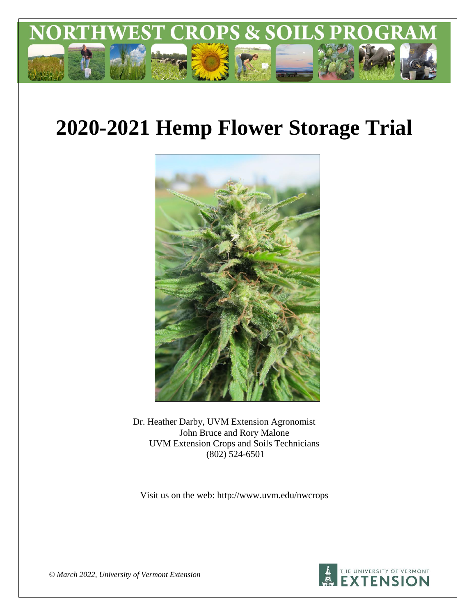

# **2020-2021 Hemp Flower Storage Trial**



Dr. Heather Darby, UVM Extension Agronomist John Bruce and Rory Malone UVM Extension Crops and Soils Technicians (802) 524-6501

Visit us on the web: http://www.uvm.edu/nwcrops



*© March 2022, University of Vermont Extension*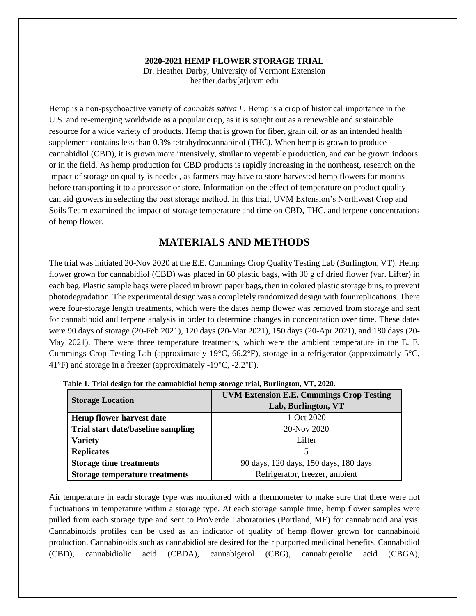#### **2020-2021 HEMP FLOWER STORAGE TRIAL**

Dr. Heather Darby, University of Vermont Extension heather.darby[at]uvm.edu

Hemp is a non-psychoactive variety of *cannabis sativa L*. Hemp is a crop of historical importance in the U.S. and re-emerging worldwide as a popular crop, as it is sought out as a renewable and sustainable resource for a wide variety of products. Hemp that is grown for fiber, grain oil, or as an intended health supplement contains less than 0.3% tetrahydrocannabinol (THC). When hemp is grown to produce cannabidiol (CBD), it is grown more intensively, similar to vegetable production, and can be grown indoors or in the field. As hemp production for CBD products is rapidly increasing in the northeast, research on the impact of storage on quality is needed, as farmers may have to store harvested hemp flowers for months before transporting it to a processor or store. Information on the effect of temperature on product quality can aid growers in selecting the best storage method. In this trial, UVM Extension's Northwest Crop and Soils Team examined the impact of storage temperature and time on CBD, THC, and terpene concentrations of hemp flower.

# **MATERIALS AND METHODS**

The trial was initiated 20-Nov 2020 at the E.E. Cummings Crop Quality Testing Lab (Burlington, VT). Hemp flower grown for cannabidiol (CBD) was placed in 60 plastic bags, with 30 g of dried flower (var. Lifter) in each bag. Plastic sample bags were placed in brown paper bags, then in colored plastic storage bins, to prevent photodegradation. The experimental design was a completely randomized design with four replications. There were four-storage length treatments, which were the dates hemp flower was removed from storage and sent for cannabinoid and terpene analysis in order to determine changes in concentration over time. These dates were 90 days of storage (20-Feb 2021), 120 days (20-Mar 2021), 150 days (20-Apr 2021), and 180 days (20- May 2021). There were three temperature treatments, which were the ambient temperature in the E. E. Cummings Crop Testing Lab (approximately 19°C, 66.2°F), storage in a refrigerator (approximately 5°C, 41°F) and storage in a freezer (approximately -19°C, -2.2°F).

|                                       | <b>UVM Extension E.E. Cummings Crop Testing</b> |  |  |  |  |
|---------------------------------------|-------------------------------------------------|--|--|--|--|
| <b>Storage Location</b>               | Lab, Burlington, VT                             |  |  |  |  |
| <b>Hemp flower harvest date</b>       | 1-Oct $2020$                                    |  |  |  |  |
| Trial start date/baseline sampling    | 20-Nov 2020                                     |  |  |  |  |
| <b>Variety</b>                        | Lifter                                          |  |  |  |  |
| <b>Replicates</b>                     | 5                                               |  |  |  |  |
| <b>Storage time treatments</b>        | 90 days, 120 days, 150 days, 180 days           |  |  |  |  |
| <b>Storage temperature treatments</b> | Refrigerator, freezer, ambient                  |  |  |  |  |

**Table 1. Trial design for the cannabidiol hemp storage trial, Burlington, VT, 2020.** 

Air temperature in each storage type was monitored with a thermometer to make sure that there were not fluctuations in temperature within a storage type. At each storage sample time, hemp flower samples were pulled from each storage type and sent to ProVerde Laboratories (Portland, ME) for cannabinoid analysis. Cannabinoids profiles can be used as an indicator of quality of hemp flower grown for cannabinoid production. Cannabinoids such as cannabidiol are desired for their purported medicinal benefits. Cannabidiol (CBD), cannabidiolic acid (CBDA), cannabigerol (CBG), cannabigerolic acid (CBGA),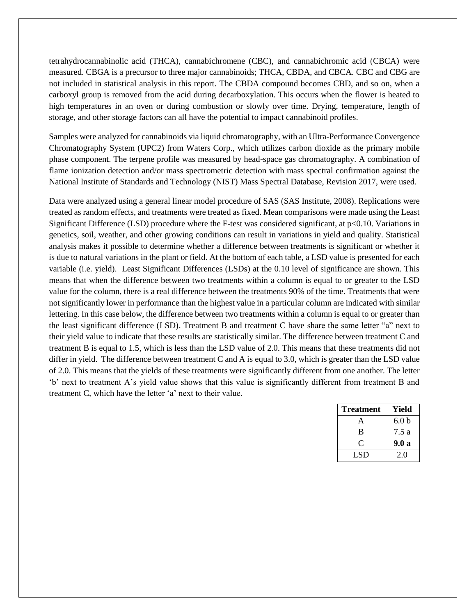tetrahydrocannabinolic acid (THCA), cannabichromene (CBC), and cannabichromic acid (CBCA) were measured. CBGA is a precursor to three major cannabinoids; THCA, CBDA, and CBCA. CBC and CBG are not included in statistical analysis in this report. The CBDA compound becomes CBD, and so on, when a carboxyl group is removed from the acid during decarboxylation. This occurs when the flower is heated to high temperatures in an oven or during combustion or slowly over time. Drying, temperature, length of storage, and other storage factors can all have the potential to impact cannabinoid profiles.

Samples were analyzed for cannabinoids via liquid chromatography, with an Ultra-Performance Convergence Chromatography System (UPC2) from Waters Corp., which utilizes carbon dioxide as the primary mobile phase component. The terpene profile was measured by head-space gas chromatography. A combination of flame ionization detection and/or mass spectrometric detection with mass spectral confirmation against the National Institute of Standards and Technology (NIST) Mass Spectral Database, Revision 2017, were used.

Data were analyzed using a general linear model procedure of SAS (SAS Institute, 2008). Replications were treated as random effects, and treatments were treated as fixed. Mean comparisons were made using the Least Significant Difference (LSD) procedure where the F-test was considered significant, at p<0.10. Variations in genetics, soil, weather, and other growing conditions can result in variations in yield and quality. Statistical analysis makes it possible to determine whether a difference between treatments is significant or whether it is due to natural variations in the plant or field. At the bottom of each table, a LSD value is presented for each variable (i.e. yield). Least Significant Differences (LSDs) at the 0.10 level of significance are shown. This means that when the difference between two treatments within a column is equal to or greater to the LSD value for the column, there is a real difference between the treatments 90% of the time. Treatments that were not significantly lower in performance than the highest value in a particular column are indicated with similar lettering. In this case below, the difference between two treatments within a column is equal to or greater than the least significant difference (LSD). Treatment B and treatment C have share the same letter "a" next to their yield value to indicate that these results are statistically similar. The difference between treatment C and treatment B is equal to 1.5, which is less than the LSD value of 2.0. This means that these treatments did not differ in yield. The difference between treatment C and A is equal to 3.0, which is greater than the LSD value of 2.0. This means that the yields of these treatments were significantly different from one another. The letter 'b' next to treatment A's yield value shows that this value is significantly different from treatment B and treatment C, which have the letter 'a' next to their value.

| <b>Treatment</b> | Yield            |
|------------------|------------------|
| $\Delta$         | 6.0 <sub>b</sub> |
| B                | 7.5a             |
| C                | 9.0a             |
| LSD.             | 2.0              |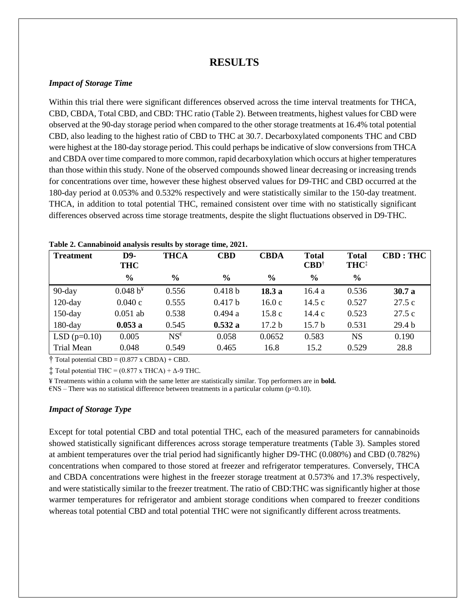# **RESULTS**

#### *Impact of Storage Time*

Within this trial there were significant differences observed across the time interval treatments for THCA, CBD, CBDA, Total CBD, and CBD: THC ratio (Table 2). Between treatments, highest values for CBD were observed at the 90-day storage period when compared to the other storage treatments at 16.4% total potential CBD, also leading to the highest ratio of CBD to THC at 30.7. Decarboxylated components THC and CBD were highest at the 180-day storage period. This could perhaps be indicative of slow conversions from THCA and CBDA over time compared to more common, rapid decarboxylation which occurs at higher temperatures than those within this study. None of the observed compounds showed linear decreasing or increasing trends for concentrations over time, however these highest observed values for D9-THC and CBD occurred at the 180-day period at 0.053% and 0.532% respectively and were statistically similar to the 150-day treatment. THCA, in addition to total potential THC, remained consistent over time with no statistically significant differences observed across time storage treatments, despite the slight fluctuations observed in D9-THC.

| <b>Treatment</b>  | D9-<br><b>THC</b> | <b>THCA</b>     | <b>CBD</b>    | <b>CBDA</b>       | <b>Total</b><br>$\mathbf{C}\mathbf{B}\mathbf{D}^{\dagger}$ | <b>Total</b><br>THC <sup>‡</sup> | CBD : THC         |
|-------------------|-------------------|-----------------|---------------|-------------------|------------------------------------------------------------|----------------------------------|-------------------|
|                   | $\frac{6}{6}$     | $\frac{6}{6}$   | $\frac{6}{9}$ | $\frac{6}{9}$     | $\frac{0}{0}$                                              | $\frac{0}{0}$                    |                   |
| 90-day            | $0.048 b^{4}$     | 0.556           | 0.418 b       | 18.3a             | 16.4 a                                                     | 0.536                            | 30.7a             |
| $120$ -day        | 0.040c            | 0.555           | 0.417 b       | 16.0c             | 14.5c                                                      | 0.527                            | 27.5c             |
| $150$ -day        | $0.051$ ab        | 0.538           | 0.494 a       | 15.8c             | 14.4c                                                      | 0.523                            | 27.5c             |
| $180$ -day        | 0.053a            | 0.545           | 0.532a        | 17.2 <sub>b</sub> | 15.7 <sub>b</sub>                                          | 0.531                            | 29.4 <sub>b</sub> |
| $LSD(p=0.10)$     | 0.005             | $NS^{\epsilon}$ | 0.058         | 0.0652            | 0.583                                                      | <b>NS</b>                        | 0.190             |
| <b>Trial Mean</b> | 0.048             | 0.549           | 0.465         | 16.8              | 15.2                                                       | 0.529                            | 28.8              |

### **Table 2. Cannabinoid analysis results by storage time, 2021.**

 $\dagger$  Total potential CBD = (0.877 x CBDA) + CBD.

 $\ddagger$  Total potential THC = (0.877 x THCA) +  $\Delta$ -9 THC.

¥ Treatments within a column with the same letter are statistically similar. Top performers are in **bold.**

 $ENS$  – There was no statistical difference between treatments in a particular column (p=0.10).

#### *Impact of Storage Type*

Except for total potential CBD and total potential THC, each of the measured parameters for cannabinoids showed statistically significant differences across storage temperature treatments (Table 3). Samples stored at ambient temperatures over the trial period had significantly higher D9-THC (0.080%) and CBD (0.782%) concentrations when compared to those stored at freezer and refrigerator temperatures. Conversely, THCA and CBDA concentrations were highest in the freezer storage treatment at 0.573% and 17.3% respectively, and were statistically similar to the freezer treatment. The ratio of CBD:THC was significantly higher at those warmer temperatures for refrigerator and ambient storage conditions when compared to freezer conditions whereas total potential CBD and total potential THC were not significantly different across treatments.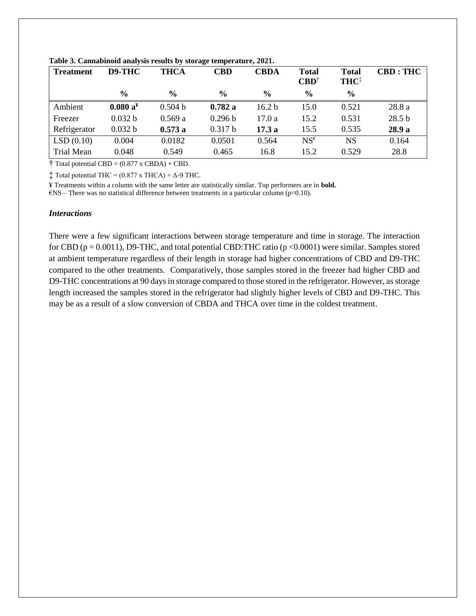| <b>Treatment</b> | D9-THC        | <b>THCA</b>   | <b>CBD</b>    | <b>CBDA</b>       | <b>Total</b><br>$\mathbf{C}\mathbf{B}\mathbf{D}^{\dagger}$ | <b>Total</b><br>THC <sup>‡</sup> | <b>CBD: THC</b>   |
|------------------|---------------|---------------|---------------|-------------------|------------------------------------------------------------|----------------------------------|-------------------|
|                  | $\frac{6}{9}$ | $\frac{6}{9}$ | $\frac{6}{9}$ | $\frac{6}{9}$     | $\frac{6}{9}$                                              | $\frac{6}{9}$                    |                   |
| Ambient          | $0.080 a^x$   | 0.504 b       | 0.782a        | 16.2 <sub>b</sub> | 15.0                                                       | 0.521                            | 28.8 a            |
| Freezer          | 0.032 b       | 0.569a        | 0.296 b       | 17.0a             | 15.2                                                       | 0.531                            | 28.5 <sub>b</sub> |
| Refrigerator     | 0.032 b       | 0.573a        | 0.317 b       | 17.3a             | 15.5                                                       | 0.535                            | 28.9 a            |
| LSD(0.10)        | 0.004         | 0.0182        | 0.0501        | 0.564             | $NS^{\epsilon}$                                            | <b>NS</b>                        | 0.164             |
| Trial Mean       | 0.048         | 0.549         | 0.465         | 16.8              | 15.2                                                       | 0.529                            | 28.8              |

**Table 3. Cannabinoid analysis results by storage temperature, 2021.** 

 $\dagger$  Total potential CBD = (0.877 x CBDA) + CBD.

 $\ddagger$  Total potential THC = (0.877 x THCA) +  $\Delta$ -9 THC.

¥ Treatments within a column with the same letter are statistically similar. Top performers are in **bold.**

 $ENS$  – There was no statistical difference between treatments in a particular column (p=0.10).

#### *Interactions*

There were a few significant interactions between storage temperature and time in storage. The interaction for CBD ( $p = 0.0011$ ), D9-THC, and total potential CBD:THC ratio ( $p < 0.0001$ ) were similar. Samples stored at ambient temperature regardless of their length in storage had higher concentrations of CBD and D9-THC compared to the other treatments. Comparatively, those samples stored in the freezer had higher CBD and D9-THC concentrations at 90 days in storage compared to those stored in the refrigerator. However, as storage length increased the samples stored in the refrigerator had slightly higher levels of CBD and D9-THC. This may be as a result of a slow conversion of CBDA and THCA over time in the coldest treatment.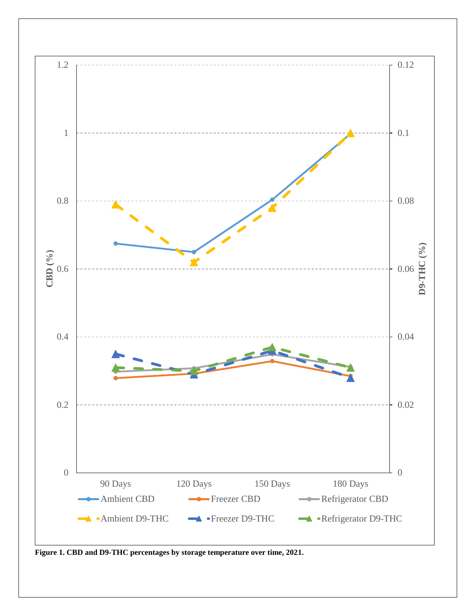

**Figure 1. CBD and D9-THC percentages by storage temperature over time, 2021.**